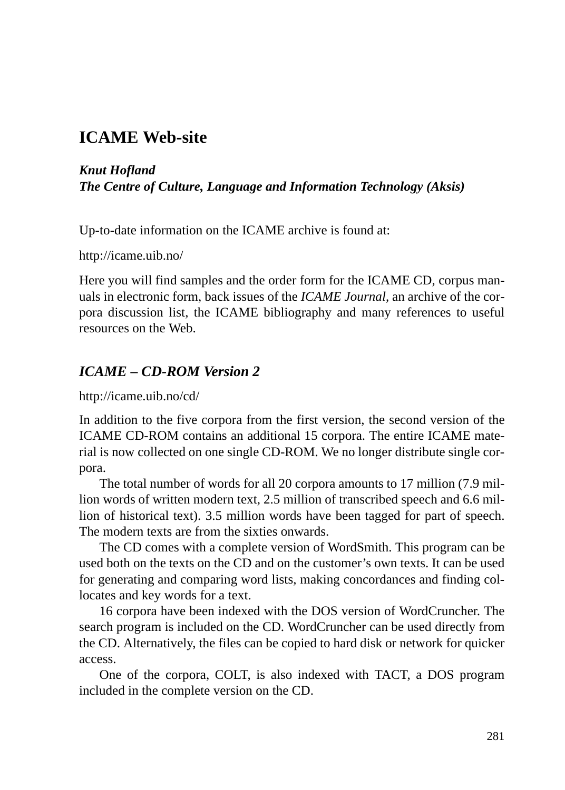## **ICAME Web-site**

#### *Knut Hofland The Centre of Culture, Language and Information Technology (Aksis)*

Up-to-date information on the ICAME archive is found at:

http://icame.uib.no/

Here you will find samples and the order form for the ICAME CD, corpus manuals in electronic form, back issues of the *ICAME Journal*, an archive of the corpora discussion list, the ICAME bibliography and many references to useful resources on the Web.

#### *ICAME – CD-ROM Version 2*

http://icame.uib.no/cd/

In addition to the five corpora from the first version, the second version of the ICAME CD-ROM contains an additional 15 corpora. The entire ICAME material is now collected on one single CD-ROM. We no longer distribute single corpora.

The total number of words for all 20 corpora amounts to 17 million (7.9 million words of written modern text, 2.5 million of transcribed speech and 6.6 million of historical text). 3.5 million words have been tagged for part of speech. The modern texts are from the sixties onwards.

The CD comes with a complete version of WordSmith. This program can be used both on the texts on the CD and on the customer's own texts. It can be used for generating and comparing word lists, making concordances and finding collocates and key words for a text.

16 corpora have been indexed with the DOS version of WordCruncher. The search program is included on the CD. WordCruncher can be used directly from the CD. Alternatively, the files can be copied to hard disk or network for quicker access.

One of the corpora, COLT, is also indexed with TACT, a DOS program included in the complete version on the CD.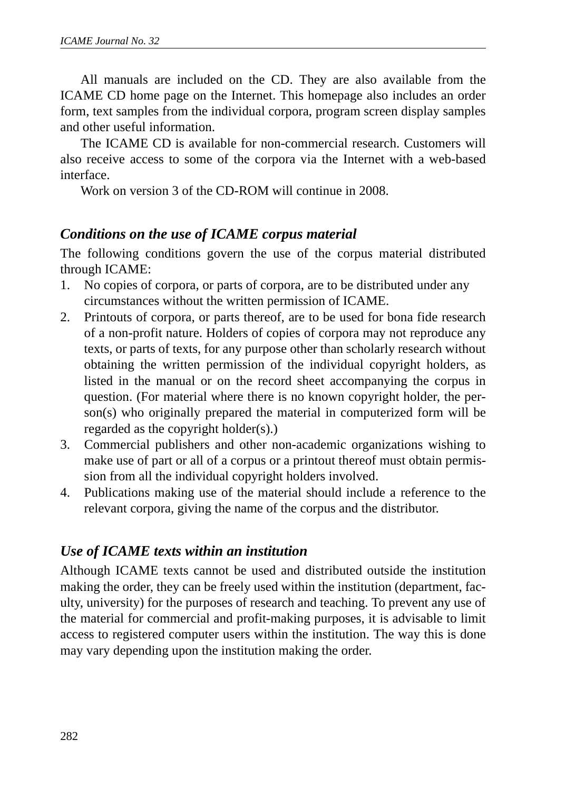All manuals are included on the CD. They are also available from the ICAME CD home page on the Internet. This homepage also includes an order form, text samples from the individual corpora, program screen display samples and other useful information.

The ICAME CD is available for non-commercial research. Customers will also receive access to some of the corpora via the Internet with a web-based interface.

Work on version 3 of the CD-ROM will continue in 2008.

#### *Conditions on the use of ICAME corpus material*

The following conditions govern the use of the corpus material distributed through ICAME:

- 1. No copies of corpora, or parts of corpora, are to be distributed under any circumstances without the written permission of ICAME.
- 2. Printouts of corpora, or parts thereof, are to be used for bona fide research of a non-profit nature. Holders of copies of corpora may not reproduce any texts, or parts of texts, for any purpose other than scholarly research without obtaining the written permission of the individual copyright holders, as listed in the manual or on the record sheet accompanying the corpus in question. (For material where there is no known copyright holder, the person(s) who originally prepared the material in computerized form will be regarded as the copyright holder(s).)
- 3. Commercial publishers and other non-academic organizations wishing to make use of part or all of a corpus or a printout thereof must obtain permission from all the individual copyright holders involved.
- 4. Publications making use of the material should include a reference to the relevant corpora, giving the name of the corpus and the distributor.

### *Use of ICAME texts within an institution*

Although ICAME texts cannot be used and distributed outside the institution making the order, they can be freely used within the institution (department, faculty, university) for the purposes of research and teaching. To prevent any use of the material for commercial and profit-making purposes, it is advisable to limit access to registered computer users within the institution. The way this is done may vary depending upon the institution making the order.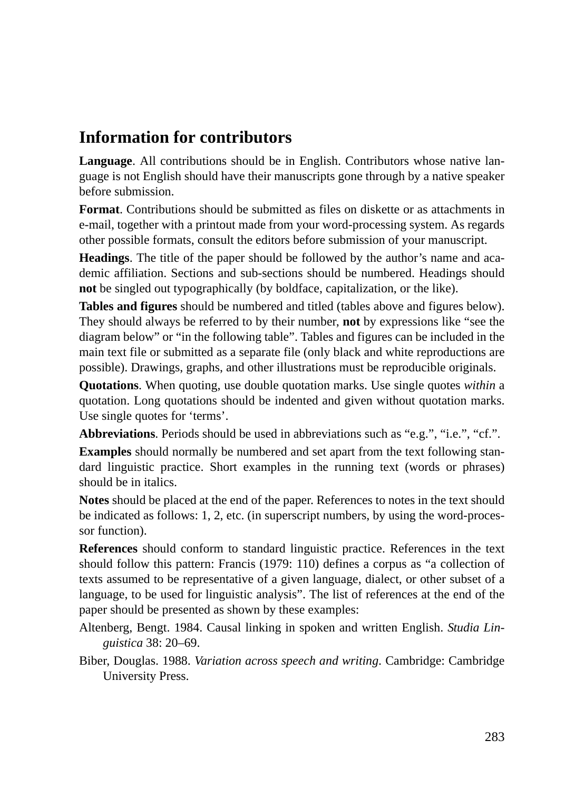# **Information for contributors**

**Language**. All contributions should be in English. Contributors whose native language is not English should have their manuscripts gone through by a native speaker before submission.

**Format**. Contributions should be submitted as files on diskette or as attachments in e-mail, together with a printout made from your word-processing system. As regards other possible formats, consult the editors before submission of your manuscript.

**Headings**. The title of the paper should be followed by the author's name and academic affiliation. Sections and sub-sections should be numbered. Headings should **not** be singled out typographically (by boldface, capitalization, or the like).

**Tables and figures** should be numbered and titled (tables above and figures below). They should always be referred to by their number, **not** by expressions like "see the diagram below" or "in the following table". Tables and figures can be included in the main text file or submitted as a separate file (only black and white reproductions are possible). Drawings, graphs, and other illustrations must be reproducible originals.

**Quotations**. When quoting, use double quotation marks. Use single quotes *within* a quotation. Long quotations should be indented and given without quotation marks. Use single quotes for 'terms'.

Abbreviations. Periods should be used in abbreviations such as "e.g.", "i.e.", "cf.".

**Examples** should normally be numbered and set apart from the text following standard linguistic practice. Short examples in the running text (words or phrases) should be in italics.

**Notes** should be placed at the end of the paper. References to notes in the text should be indicated as follows: 1, 2, etc. (in superscript numbers, by using the word-processor function).

**References** should conform to standard linguistic practice. References in the text should follow this pattern: Francis (1979: 110) defines a corpus as "a collection of texts assumed to be representative of a given language, dialect, or other subset of a language, to be used for linguistic analysis". The list of references at the end of the paper should be presented as shown by these examples:

Altenberg, Bengt. 1984. Causal linking in spoken and written English. *Studia Linguistica* 38: 20–69.

Biber, Douglas. 1988. *Variation across speech and writing*. Cambridge: Cambridge University Press.